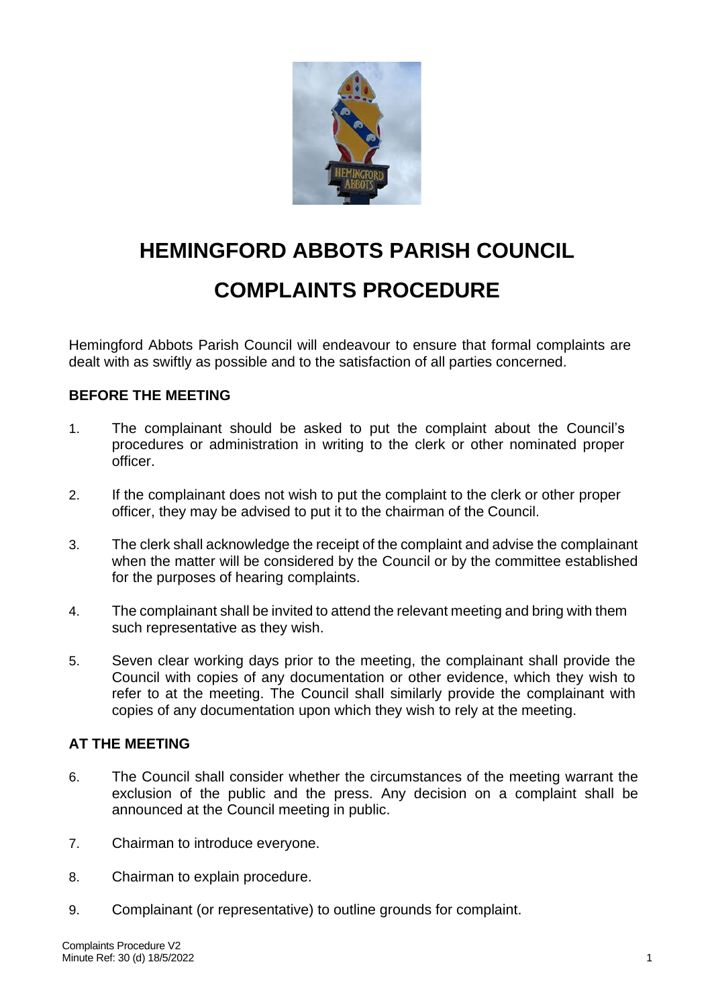

## **HEMINGFORD ABBOTS PARISH COUNCIL COMPLAINTS PROCEDURE**

Hemingford Abbots Parish Council will endeavour to ensure that formal complaints are dealt with as swiftly as possible and to the satisfaction of all parties concerned.

## **BEFORE THE MEETING**

- 1. The complainant should be asked to put the complaint about the Council's procedures or administration in writing to the clerk or other nominated proper officer.
- 2. If the complainant does not wish to put the complaint to the clerk or other proper officer, they may be advised to put it to the chairman of the Council.
- 3. The clerk shall acknowledge the receipt of the complaint and advise the complainant when the matter will be considered by the Council or by the committee established for the purposes of hearing complaints.
- 4. The complainant shall be invited to attend the relevant meeting and bring with them such representative as they wish.
- 5. Seven clear working days prior to the meeting, the complainant shall provide the Council with copies of any documentation or other evidence, which they wish to refer to at the meeting. The Council shall similarly provide the complainant with copies of any documentation upon which they wish to rely at the meeting.

## **AT THE MEETING**

- 6. The Council shall consider whether the circumstances of the meeting warrant the exclusion of the public and the press. Any decision on a complaint shall be announced at the Council meeting in public.
- 7. Chairman to introduce everyone.
- 8. Chairman to explain procedure.
- 9. Complainant (or representative) to outline grounds for complaint.